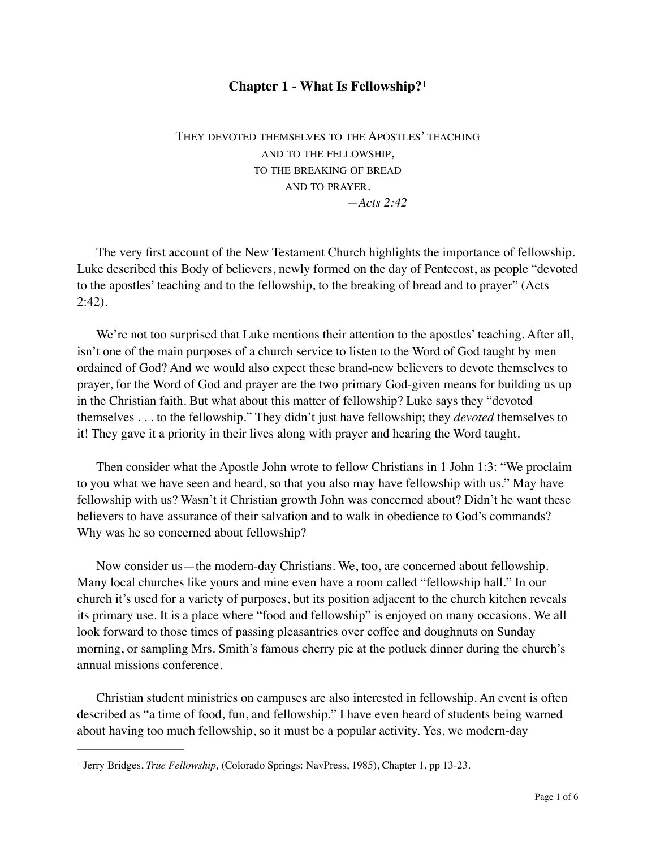# <span id="page-0-1"></span>**Chapter 1 - What Is Fellowship[?1](#page-0-0)**

THEY DEVOTED THEMSELVES TO THE APOSTLES' TEACHING AND TO THE FELLOWSHIP, TO THE BREAKING OF BREAD AND TO PRAYER. *—Acts 2:42* 

The very first account of the New Testament Church highlights the importance of fellowship. Luke described this Body of believers, newly formed on the day of Pentecost, as people "devoted to the apostles' teaching and to the fellowship, to the breaking of bread and to prayer" (Acts 2:42).

We're not too surprised that Luke mentions their attention to the apostles' teaching. After all, isn't one of the main purposes of a church service to listen to the Word of God taught by men ordained of God? And we would also expect these brand-new believers to devote themselves to prayer, for the Word of God and prayer are the two primary God-given means for building us up in the Christian faith. But what about this matter of fellowship? Luke says they "devoted themselves . . . to the fellowship." They didn't just have fellowship; they *devoted* themselves to it! They gave it a priority in their lives along with prayer and hearing the Word taught.

Then consider what the Apostle John wrote to fellow Christians in 1 John 1:3: "We proclaim to you what we have seen and heard, so that you also may have fellowship with us." May have fellowship with us? Wasn't it Christian growth John was concerned about? Didn't he want these believers to have assurance of their salvation and to walk in obedience to God's commands? Why was he so concerned about fellowship?

Now consider us—the modern-day Christians. We, too, are concerned about fellowship. Many local churches like yours and mine even have a room called "fellowship hall." In our church it's used for a variety of purposes, but its position adjacent to the church kitchen reveals its primary use. It is a place where "food and fellowship" is enjoyed on many occasions. We all look forward to those times of passing pleasantries over coffee and doughnuts on Sunday morning, or sampling Mrs. Smith's famous cherry pie at the potluck dinner during the church's annual missions conference.

Christian student ministries on campuses are also interested in fellowship. An event is often described as "a time of food, fun, and fellowship." I have even heard of students being warned about having too much fellowship, so it must be a popular activity. Yes, we modern-day

<span id="page-0-0"></span><sup>&</sup>lt;sup>[1](#page-0-1)</sup> Jerry Bridges, *True Fellowship*, (Colorado Springs: NavPress, 1985), Chapter 1, pp 13-23.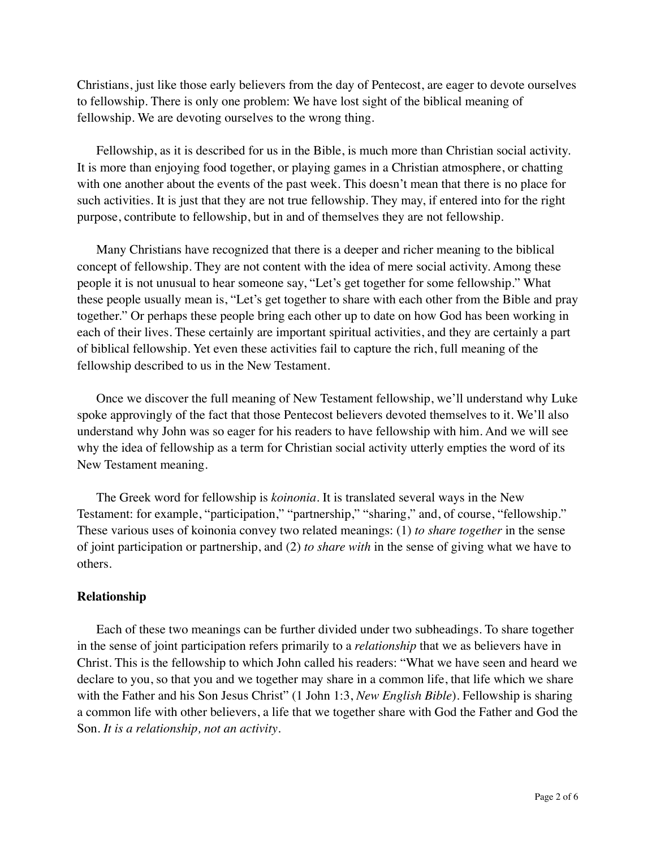Christians, just like those early believers from the day of Pentecost, are eager to devote ourselves to fellowship. There is only one problem: We have lost sight of the biblical meaning of fellowship. We are devoting ourselves to the wrong thing.

Fellowship, as it is described for us in the Bible, is much more than Christian social activity. It is more than enjoying food together, or playing games in a Christian atmosphere, or chatting with one another about the events of the past week. This doesn't mean that there is no place for such activities. It is just that they are not true fellowship. They may, if entered into for the right purpose, contribute to fellowship, but in and of themselves they are not fellowship.

Many Christians have recognized that there is a deeper and richer meaning to the biblical concept of fellowship. They are not content with the idea of mere social activity. Among these people it is not unusual to hear someone say, "Let's get together for some fellowship." What these people usually mean is, "Let's get together to share with each other from the Bible and pray together." Or perhaps these people bring each other up to date on how God has been working in each of their lives. These certainly are important spiritual activities, and they are certainly a part of biblical fellowship. Yet even these activities fail to capture the rich, full meaning of the fellowship described to us in the New Testament.

Once we discover the full meaning of New Testament fellowship, we'll understand why Luke spoke approvingly of the fact that those Pentecost believers devoted themselves to it. We'll also understand why John was so eager for his readers to have fellowship with him. And we will see why the idea of fellowship as a term for Christian social activity utterly empties the word of its New Testament meaning.

The Greek word for fellowship is *koinonia*. It is translated several ways in the New Testament: for example, "participation," "partnership," "sharing," and, of course, "fellowship." These various uses of koinonia convey two related meanings: (1) *to share together* in the sense of joint participation or partnership, and (2) *to share with* in the sense of giving what we have to others.

## **Relationship**

Each of these two meanings can be further divided under two subheadings. To share together in the sense of joint participation refers primarily to a *relationship* that we as believers have in Christ. This is the fellowship to which John called his readers: "What we have seen and heard we declare to you, so that you and we together may share in a common life, that life which we share with the Father and his Son Jesus Christ" (1 John 1:3, *New English Bible*). Fellowship is sharing a common life with other believers, a life that we together share with God the Father and God the Son. *It is a relationship, not an activity*.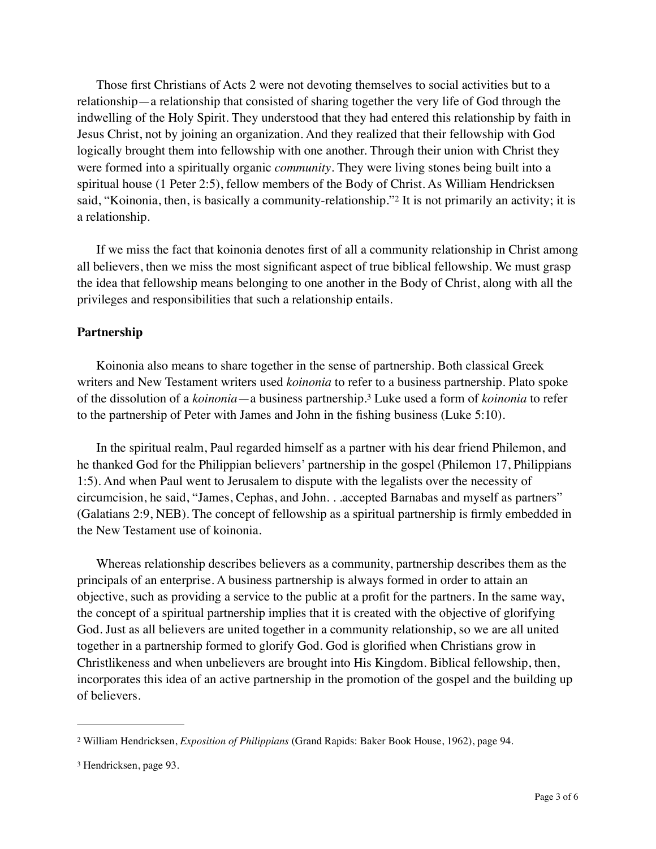Those first Christians of Acts 2 were not devoting themselves to social activities but to a relationship—a relationship that consisted of sharing together the very life of God through the indwelling of the Holy Spirit. They understood that they had entered this relationship by faith in Jesus Christ, not by joining an organization. And they realized that their fellowship with God logically brought them into fellowship with one another. Through their union with Christ they were formed into a spiritually organic *community*. They were living stones being built into a spiritual house (1 Peter 2:5), fellow members of the Body of Christ. As William Hendricksen said,"Koinonia, then, is basically a community-relationship."<sup>[2](#page-2-0)</sup> It is not primarily an activity; it is a relationship.

<span id="page-2-2"></span>If we miss the fact that koinonia denotes first of all a community relationship in Christ among all believers, then we miss the most significant aspect of true biblical fellowship. We must grasp the idea that fellowship means belonging to one another in the Body of Christ, along with all the privileges and responsibilities that such a relationship entails.

### **Partnership**

<span id="page-2-3"></span>Koinonia also means to share together in the sense of partnership. Both classical Greek writers and New Testament writers used *koinonia* to refer to a business partnership. Plato spoke of the dissolution of a *koinonia*—a business partnership.Luke used a form of *koinonia* to refer 3 to the partnership of Peter with James and John in the fishing business (Luke 5:10).

In the spiritual realm, Paul regarded himself as a partner with his dear friend Philemon, and he thanked God for the Philippian believers' partnership in the gospel (Philemon 17, Philippians 1:5). And when Paul went to Jerusalem to dispute with the legalists over the necessity of circumcision, he said, "James, Cephas, and John. . .accepted Barnabas and myself as partners" (Galatians 2:9, NEB). The concept of fellowship as a spiritual partnership is firmly embedded in the New Testament use of koinonia.

Whereas relationship describes believers as a community, partnership describes them as the principals of an enterprise. A business partnership is always formed in order to attain an objective, such as providing a service to the public at a profit for the partners. In the same way, the concept of a spiritual partnership implies that it is created with the objective of glorifying God. Just as all believers are united together in a community relationship, so we are all united together in a partnership formed to glorify God. God is glorified when Christians grow in Christlikeness and when unbelievers are brought into His Kingdom. Biblical fellowship, then, incorporates this idea of an active partnership in the promotion of the gospel and the building up of believers.

<span id="page-2-0"></span>William Hendricksen, *Exposition of Philippians* (Grand Rapids: Baker Book House, 1962), page 94. [2](#page-2-2)

<span id="page-2-1"></span><sup>&</sup>lt;sup>[3](#page-2-3)</sup> Hendricksen, page 93.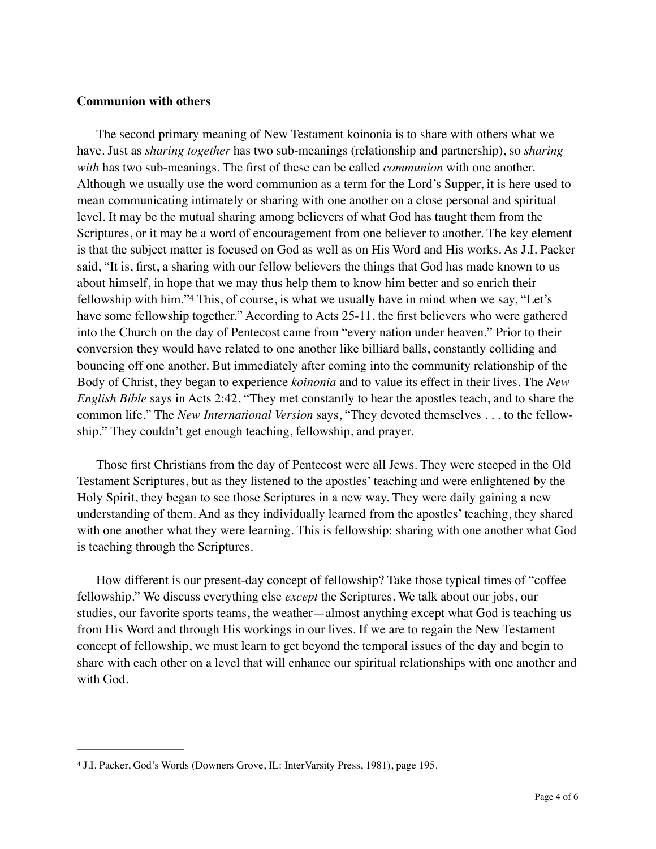#### **Communion with others**

<span id="page-3-1"></span>The second primary meaning of New Testament koinonia is to share with others what we have. Just as *sharing together* has two sub-meanings (relationship and partnership), so *sharing with* has two sub-meanings. The first of these can be called *communion* with one another. Although we usually use the word communion as a term for the Lord's Supper, it is here used to mean communicating intimately or sharing with one another on a close personal and spiritual level. It may be the mutual sharing among believers of what God has taught them from the Scriptures, or it may be a word of encouragement from one believer to another. The key element is that the subject matter is focused on God as well as on His Word and His works. As J.I. Packer said, "It is, first, a sharing with our fellow believers the things that God has made known to us about himself, in hope that we may thus help them to know him better and so enrich their fellowshipwith him."<sup>[4](#page-3-0)</sup> This, of course, is what we usually have in mind when we say, "Let's have some fellowship together." According to Acts 25-11, the first believers who were gathered into the Church on the day of Pentecost came from "every nation under heaven." Prior to their conversion they would have related to one another like billiard balls, constantly colliding and bouncing off one another. But immediately after coming into the community relationship of the Body of Christ, they began to experience *koinonia* and to value its effect in their lives. The *New English Bible* says in Acts 2:42, "They met constantly to hear the apostles teach, and to share the common life." The *New International Version* says, "They devoted themselves . . . to the fellowship." They couldn't get enough teaching, fellowship, and prayer.

Those first Christians from the day of Pentecost were all Jews. They were steeped in the Old Testament Scriptures, but as they listened to the apostles' teaching and were enlightened by the Holy Spirit, they began to see those Scriptures in a new way. They were daily gaining a new understanding of them. And as they individually learned from the apostles' teaching, they shared with one another what they were learning. This is fellowship: sharing with one another what God is teaching through the Scriptures.

How different is our present-day concept of fellowship? Take those typical times of "coffee fellowship." We discuss everything else *except* the Scriptures. We talk about our jobs, our studies, our favorite sports teams, the weather—almost anything except what God is teaching us from His Word and through His workings in our lives. If we are to regain the New Testament concept of fellowship, we must learn to get beyond the temporal issues of the day and begin to share with each other on a level that will enhance our spiritual relationships with one another and with God.

<span id="page-3-0"></span><sup>&</sup>lt;sup>[4](#page-3-1)</sup> J.I. Packer, God's Words (Downers Grove, IL: InterVarsity Press, 1981), page 195.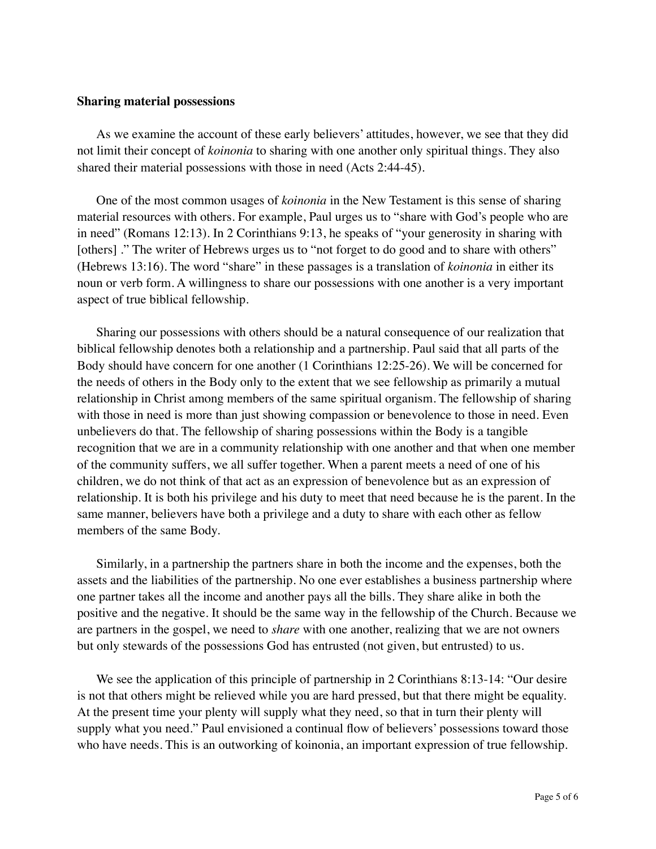#### **Sharing material possessions**

As we examine the account of these early believers' attitudes, however, we see that they did not limit their concept of *koinonia* to sharing with one another only spiritual things. They also shared their material possessions with those in need (Acts 2:44-45).

One of the most common usages of *koinonia* in the New Testament is this sense of sharing material resources with others. For example, Paul urges us to "share with God's people who are in need" (Romans 12:13). In 2 Corinthians 9:13, he speaks of "your generosity in sharing with [others] ." The writer of Hebrews urges us to "not forget to do good and to share with others" (Hebrews 13:16). The word "share" in these passages is a translation of *koinonia* in either its noun or verb form. A willingness to share our possessions with one another is a very important aspect of true biblical fellowship.

Sharing our possessions with others should be a natural consequence of our realization that biblical fellowship denotes both a relationship and a partnership. Paul said that all parts of the Body should have concern for one another (1 Corinthians 12:25-26). We will be concerned for the needs of others in the Body only to the extent that we see fellowship as primarily a mutual relationship in Christ among members of the same spiritual organism. The fellowship of sharing with those in need is more than just showing compassion or benevolence to those in need. Even unbelievers do that. The fellowship of sharing possessions within the Body is a tangible recognition that we are in a community relationship with one another and that when one member of the community suffers, we all suffer together. When a parent meets a need of one of his children, we do not think of that act as an expression of benevolence but as an expression of relationship. It is both his privilege and his duty to meet that need because he is the parent. In the same manner, believers have both a privilege and a duty to share with each other as fellow members of the same Body.

Similarly, in a partnership the partners share in both the income and the expenses, both the assets and the liabilities of the partnership. No one ever establishes a business partnership where one partner takes all the income and another pays all the bills. They share alike in both the positive and the negative. It should be the same way in the fellowship of the Church. Because we are partners in the gospel, we need to *share* with one another, realizing that we are not owners but only stewards of the possessions God has entrusted (not given, but entrusted) to us.

We see the application of this principle of partnership in 2 Corinthians 8:13-14: "Our desire" is not that others might be relieved while you are hard pressed, but that there might be equality. At the present time your plenty will supply what they need, so that in turn their plenty will supply what you need." Paul envisioned a continual flow of believers' possessions toward those who have needs. This is an outworking of koinonia, an important expression of true fellowship.